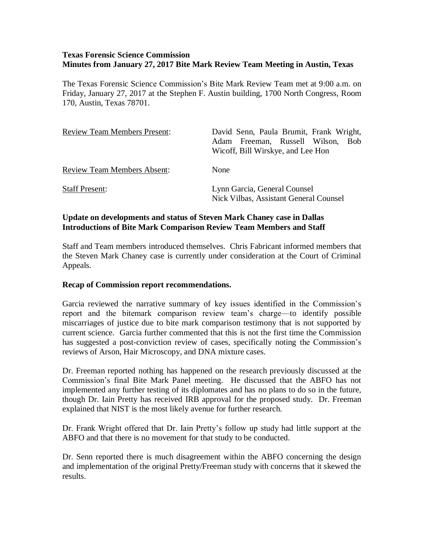## **Texas Forensic Science Commission Minutes from January 27, 2017 Bite Mark Review Team Meeting in Austin, Texas**

The Texas Forensic Science Commission's Bite Mark Review Team met at 9:00 a.m. on Friday, January 27, 2017 at the Stephen F. Austin building, 1700 North Congress, Room 170, Austin, Texas 78701.

| <b>Review Team Members Present:</b> | David Senn, Paula Brumit, Frank Wright,<br>Adam Freeman, Russell Wilson,<br><b>Bob</b><br>Wicoff, Bill Wirskye, and Lee Hon |
|-------------------------------------|-----------------------------------------------------------------------------------------------------------------------------|
| <b>Review Team Members Absent:</b>  | None                                                                                                                        |
| <b>Staff Present:</b>               | Lynn Garcia, General Counsel<br>Nick Vilbas, Assistant General Counsel                                                      |

## **Update on developments and status of Steven Mark Chaney case in Dallas Introductions of Bite Mark Comparison Review Team Members and Staff**

Staff and Team members introduced themselves. Chris Fabricant informed members that the Steven Mark Chaney case is currently under consideration at the Court of Criminal Appeals.

## **Recap of Commission report recommendations.**

Garcia reviewed the narrative summary of key issues identified in the Commission's report and the bitemark comparison review team's charge—to identify possible miscarriages of justice due to bite mark comparison testimony that is not supported by current science. Garcia further commented that this is not the first time the Commission has suggested a post-conviction review of cases, specifically noting the Commission's reviews of Arson, Hair Microscopy, and DNA mixture cases.

Dr. Freeman reported nothing has happened on the research previously discussed at the Commission's final Bite Mark Panel meeting. He discussed that the ABFO has not implemented any further testing of its diplomates and has no plans to do so in the future, though Dr. Iain Pretty has received IRB approval for the proposed study. Dr. Freeman explained that NIST is the most likely avenue for further research.

Dr. Frank Wright offered that Dr. Iain Pretty's follow up study had little support at the ABFO and that there is no movement for that study to be conducted.

Dr. Senn reported there is much disagreement within the ABFO concerning the design and implementation of the original Pretty/Freeman study with concerns that it skewed the results.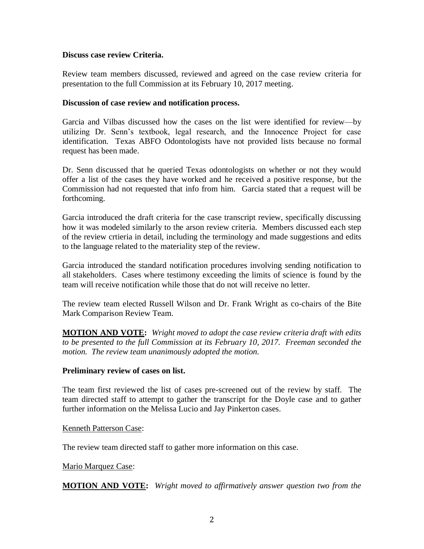## **Discuss case review Criteria.**

Review team members discussed, reviewed and agreed on the case review criteria for presentation to the full Commission at its February 10, 2017 meeting.

### **Discussion of case review and notification process.**

Garcia and Vilbas discussed how the cases on the list were identified for review—by utilizing Dr. Senn's textbook, legal research, and the Innocence Project for case identification. Texas ABFO Odontologists have not provided lists because no formal request has been made.

Dr. Senn discussed that he queried Texas odontologists on whether or not they would offer a list of the cases they have worked and he received a positive response, but the Commission had not requested that info from him. Garcia stated that a request will be forthcoming.

Garcia introduced the draft criteria for the case transcript review, specifically discussing how it was modeled similarly to the arson review criteria. Members discussed each step of the review crtieria in detail, including the terminology and made suggestions and edits to the language related to the materiality step of the review.

Garcia introduced the standard notification procedures involving sending notification to all stakeholders. Cases where testimony exceeding the limits of science is found by the team will receive notification while those that do not will receive no letter.

The review team elected Russell Wilson and Dr. Frank Wright as co-chairs of the Bite Mark Comparison Review Team.

**MOTION AND VOTE:** *Wright moved to adopt the case review criteria draft with edits to be presented to the full Commission at its February 10, 2017. Freeman seconded the motion. The review team unanimously adopted the motion.*

## **Preliminary review of cases on list.**

The team first reviewed the list of cases pre-screened out of the review by staff. The team directed staff to attempt to gather the transcript for the Doyle case and to gather further information on the Melissa Lucio and Jay Pinkerton cases.

#### Kenneth Patterson Case:

The review team directed staff to gather more information on this case.

Mario Marquez Case:

**MOTION AND VOTE:** *Wright moved to affirmatively answer question two from the*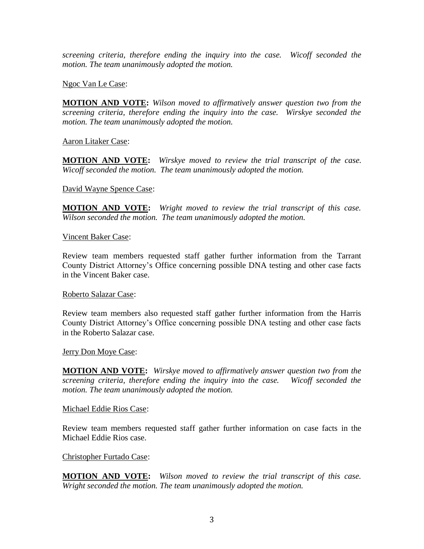*screening criteria, therefore ending the inquiry into the case. Wicoff seconded the motion. The team unanimously adopted the motion.*

Ngoc Van Le Case:

**MOTION AND VOTE:** *Wilson moved to affirmatively answer question two from the screening criteria, therefore ending the inquiry into the case. Wirskye seconded the motion. The team unanimously adopted the motion.*

Aaron Litaker Case:

**MOTION AND VOTE:** *Wirskye moved to review the trial transcript of the case. Wicoff seconded the motion. The team unanimously adopted the motion.*

#### David Wayne Spence Case:

**MOTION AND VOTE:** *Wright moved to review the trial transcript of this case. Wilson seconded the motion. The team unanimously adopted the motion.*

#### Vincent Baker Case:

Review team members requested staff gather further information from the Tarrant County District Attorney's Office concerning possible DNA testing and other case facts in the Vincent Baker case.

#### Roberto Salazar Case:

Review team members also requested staff gather further information from the Harris County District Attorney's Office concerning possible DNA testing and other case facts in the Roberto Salazar case.

#### Jerry Don Moye Case:

**MOTION AND VOTE:** *Wirskye moved to affirmatively answer question two from the screening criteria, therefore ending the inquiry into the case. Wicoff seconded the motion. The team unanimously adopted the motion.*

#### Michael Eddie Rios Case:

Review team members requested staff gather further information on case facts in the Michael Eddie Rios case.

#### Christopher Furtado Case:

**MOTION AND VOTE:** *Wilson moved to review the trial transcript of this case. Wright seconded the motion. The team unanimously adopted the motion.*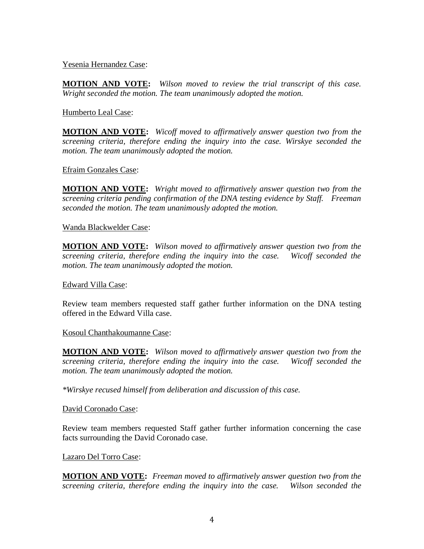Yesenia Hernandez Case:

**MOTION AND VOTE:** *Wilson moved to review the trial transcript of this case. Wright seconded the motion. The team unanimously adopted the motion.*

## Humberto Leal Case:

**MOTION AND VOTE:** *Wicoff moved to affirmatively answer question two from the screening criteria, therefore ending the inquiry into the case. Wirskye seconded the motion. The team unanimously adopted the motion.*

Efraim Gonzales Case:

**MOTION AND VOTE:** *Wright moved to affirmatively answer question two from the screening criteria pending confirmation of the DNA testing evidence by Staff. Freeman seconded the motion. The team unanimously adopted the motion.* 

Wanda Blackwelder Case:

**MOTION AND VOTE:** *Wilson moved to affirmatively answer question two from the screening criteria, therefore ending the inquiry into the case. Wicoff seconded the motion. The team unanimously adopted the motion.*

Edward Villa Case:

Review team members requested staff gather further information on the DNA testing offered in the Edward Villa case.

Kosoul Chanthakoumanne Case:

**MOTION AND VOTE:** *Wilson moved to affirmatively answer question two from the screening criteria, therefore ending the inquiry into the case. Wicoff seconded the motion. The team unanimously adopted the motion.*

*\*Wirskye recused himself from deliberation and discussion of this case.*

David Coronado Case:

Review team members requested Staff gather further information concerning the case facts surrounding the David Coronado case.

Lazaro Del Torro Case:

**MOTION AND VOTE:** *Freeman moved to affirmatively answer question two from the screening criteria, therefore ending the inquiry into the case. Wilson seconded the*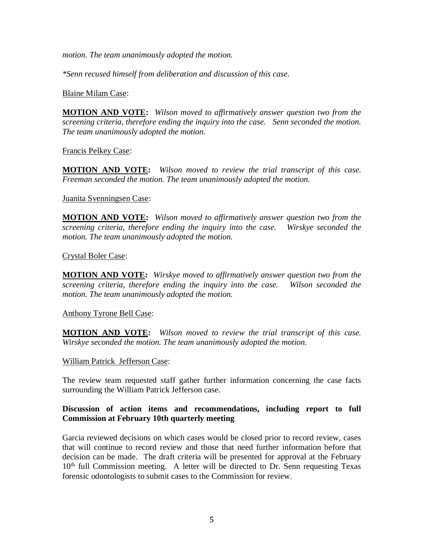*motion. The team unanimously adopted the motion.* 

*\*Senn recused himself from deliberation and discussion of this case.*

Blaine Milam Case:

**MOTION AND VOTE:** *Wilson moved to affirmatively answer question two from the screening criteria, therefore ending the inquiry into the case. Senn seconded the motion. The team unanimously adopted the motion.* 

Francis Pelkey Case:

**MOTION AND VOTE:** *Wilson moved to review the trial transcript of this case. Freeman seconded the motion. The team unanimously adopted the motion.*

Juanita Svenningsen Case:

**MOTION AND VOTE:** *Wilson moved to affirmatively answer question two from the screening criteria, therefore ending the inquiry into the case. Wirskye seconded the motion. The team unanimously adopted the motion.*

Crystal Boler Case:

**MOTION AND VOTE:** *Wirskye moved to affirmatively answer question two from the screening criteria, therefore ending the inquiry into the case. Wilson seconded the motion. The team unanimously adopted the motion.*

Anthony Tyrone Bell Case:

**MOTION AND VOTE:** *Wilson moved to review the trial transcript of this case. Wirskye seconded the motion. The team unanimously adopted the motion.*

William Patrick Jefferson Case:

The review team requested staff gather further information concerning the case facts surrounding the William Patrick Jefferson case.

## **Discussion of action items and recommendations, including report to full Commission at February 10th quarterly meeting**

Garcia reviewed decisions on which cases would be closed prior to record review, cases that will continue to record review and those that need further information before that decision can be made. The draft criteria will be presented for approval at the February  $10<sup>th</sup>$  full Commission meeting. A letter will be directed to Dr. Senn requesting Texas forensic odontologists to submit cases to the Commission for review.